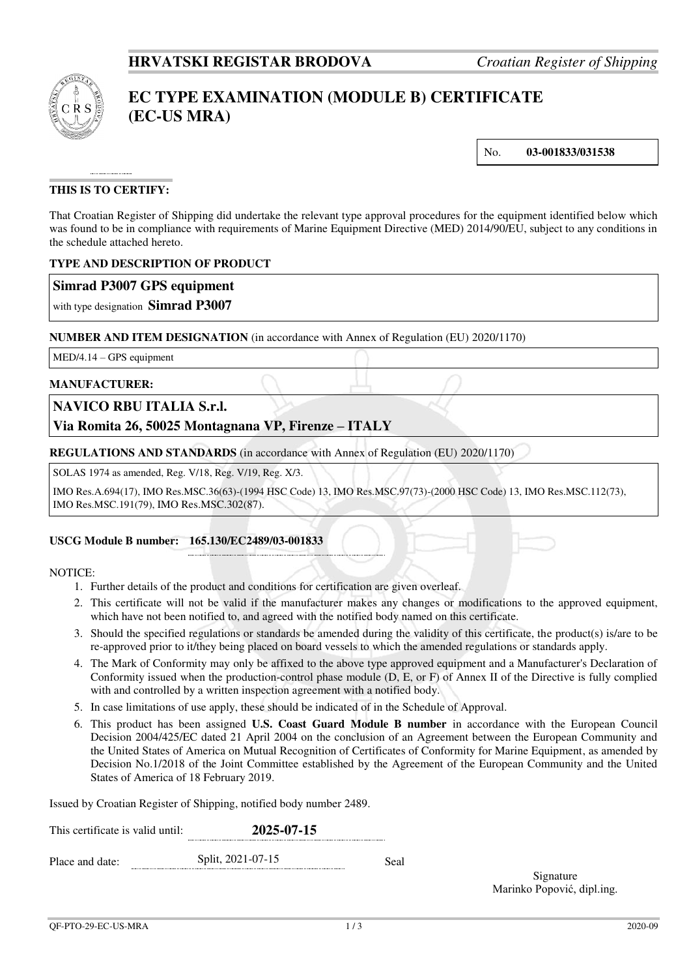

# **EC TYPE EXAMINATION (MODULE B) CERTIFICATE (EC-US MRA)**

No. **03-001833/031538**

## **THIS IS TO CERTIFY:**

That Croatian Register of Shipping did undertake the relevant type approval procedures for the equipment identified below which was found to be in compliance with requirements of Marine Equipment Directive (MED) 2014/90/EU, subject to any conditions in the schedule attached hereto.

#### **TYPE AND DESCRIPTION OF PRODUCT**

### **Simrad P3007 GPS equipment**

with type designation **Simrad P3007**

#### **NUMBER AND ITEM DESIGNATION** (in accordance with Annex of Regulation (EU) 2020/1170)

MED/4.14 – GPS equipment

#### **MANUFACTURER:**

### **NAVICO RBU ITALIA S.r.l.**

## **Via Romita 26, 50025 Montagnana VP, Firenze – ITALY**

**REGULATIONS AND STANDARDS** (in accordance with Annex of Regulation (EU) 2020/1170)

SOLAS 1974 as amended, Reg. V/18, Reg. V/19, Reg. X/3.

IMO Res.A.694(17), IMO Res.MSC.36(63)-(1994 HSC Code) 13, IMO Res.MSC.97(73)-(2000 HSC Code) 13, IMO Res.MSC.112(73), IMO Res.MSC.191(79), IMO Res.MSC.302(87).

#### **USCG Module B number: 165.130/EC2489/03-001833**

#### NOTICE:

- 1. Further details of the product and conditions for certification are given overleaf.
- 2. This certificate will not be valid if the manufacturer makes any changes or modifications to the approved equipment, which have not been notified to, and agreed with the notified body named on this certificate.
- 3. Should the specified regulations or standards be amended during the validity of this certificate, the product(s) is/are to be re-approved prior to it/they being placed on board vessels to which the amended regulations or standards apply.
- 4. The Mark of Conformity may only be affixed to the above type approved equipment and a Manufacturer's Declaration of Conformity issued when the production-control phase module (D, E, or F) of Annex II of the Directive is fully complied with and controlled by a written inspection agreement with a notified body.
- 5. In case limitations of use apply, these should be indicated of in the Schedule of Approval.
- 6. This product has been assigned **U.S. Coast Guard Module B number** in accordance with the European Council Decision 2004/425/EC dated 21 April 2004 on the conclusion of an Agreement between the European Community and the United States of America on Mutual Recognition of Certificates of Conformity for Marine Equipment, as amended by Decision No.1/2018 of the Joint Committee established by the Agreement of the European Community and the United States of America of 18 February 2019.

Issued by Croatian Register of Shipping, notified body number 2489.

| This certificate is valid until: | 2025-07-15        |      |  |  |
|----------------------------------|-------------------|------|--|--|
| Place and date:                  | Split, 2021-07-15 | Seal |  |  |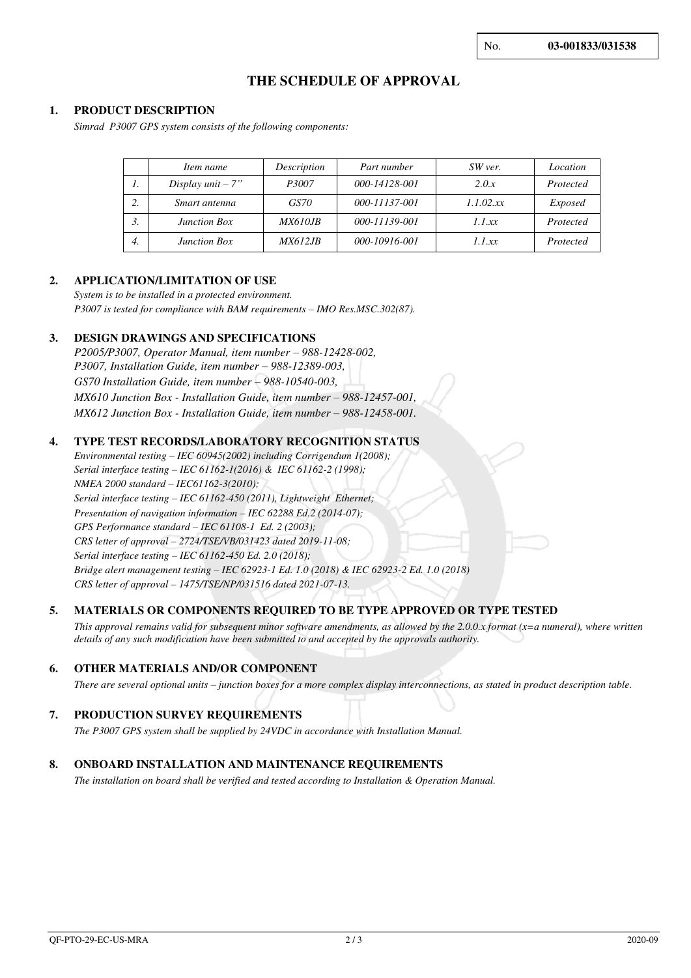## **THE SCHEDULE OF APPROVAL**

#### **1. PRODUCT DESCRIPTION**

*Simrad P3007 GPS system consists of the following components:* 

|    | Item name           | Description    | Part number   | SW ver.      | Location       |
|----|---------------------|----------------|---------------|--------------|----------------|
| 1. | Display unit $-7$ " | P3007          | 000-14128-001 | 2.0.x        | Protected      |
| 2. | Smart antenna       | GS70           | 000-11137-001 | $1.1.02$ .xx | <i>Exposed</i> |
| 3. | <b>Junction Box</b> | <i>MX610JB</i> | 000-11139-001 | 1.1 xx       | Protected      |
| 4. | <b>Junction Box</b> | <i>MX612JB</i> | 000-10916-001 | 1.1 xx       | Protected      |

#### **2. APPLICATION/LIMITATION OF USE**

*System is to be installed in a protected environment. P3007 is tested for compliance with BAM requirements – IMO Res.MSC.302(87).*

#### **3. DESIGN DRAWINGS AND SPECIFICATIONS**

*P2005/P3007, Operator Manual, item number – 988-12428-002, P3007, Installation Guide, item number – 988-12389-003, GS70 Installation Guide, item number – 988-10540-003, MX610 Junction Box - Installation Guide, item number – 988-12457-001, MX612 Junction Box - Installation Guide, item number – 988-12458-001.* 

#### **4. TYPE TEST RECORDS/LABORATORY RECOGNITION STATUS**

*Environmental testing – IEC 60945(2002) including Corrigendum 1(2008); Serial interface testing – IEC 61162-1(2016) & IEC 61162-2 (1998); NMEA 2000 standard – IEC61162-3(2010); Serial interface testing – IEC 61162-450 (2011), Lightweight Ethernet; Presentation of navigation information – IEC 62288 Ed.2 (2014-07); GPS Performance standard – IEC 61108-1 Ed. 2 (2003); CRS letter of approval – 2724/TSE/VB/031423 dated 2019-11-08; Serial interface testing – IEC 61162-450 Ed. 2.0 (2018); Bridge alert management testing – IEC 62923-1 Ed. 1.0 (2018) & IEC 62923-2 Ed. 1.0 (2018) CRS letter of approval – 1475/TSE/NP/031516 dated 2021-07-13.*

#### **5. MATERIALS OR COMPONENTS REQUIRED TO BE TYPE APPROVED OR TYPE TESTED**

*This approval remains valid for subsequent minor software amendments, as allowed by the 2.0.0.x format (x=a numeral), where written details of any such modification have been submitted to and accepted by the approvals authority.*

#### **6. OTHER MATERIALS AND/OR COMPONENT**

*There are several optional units – junction boxes for a more complex display interconnections, as stated in product description table.*

#### **7. PRODUCTION SURVEY REQUIREMENTS**

*The P3007 GPS system shall be supplied by 24VDC in accordance with Installation Manual.* 

#### **8. ONBOARD INSTALLATION AND MAINTENANCE REQUIREMENTS**

*The installation on board shall be verified and tested according to Installation & Operation Manual.*